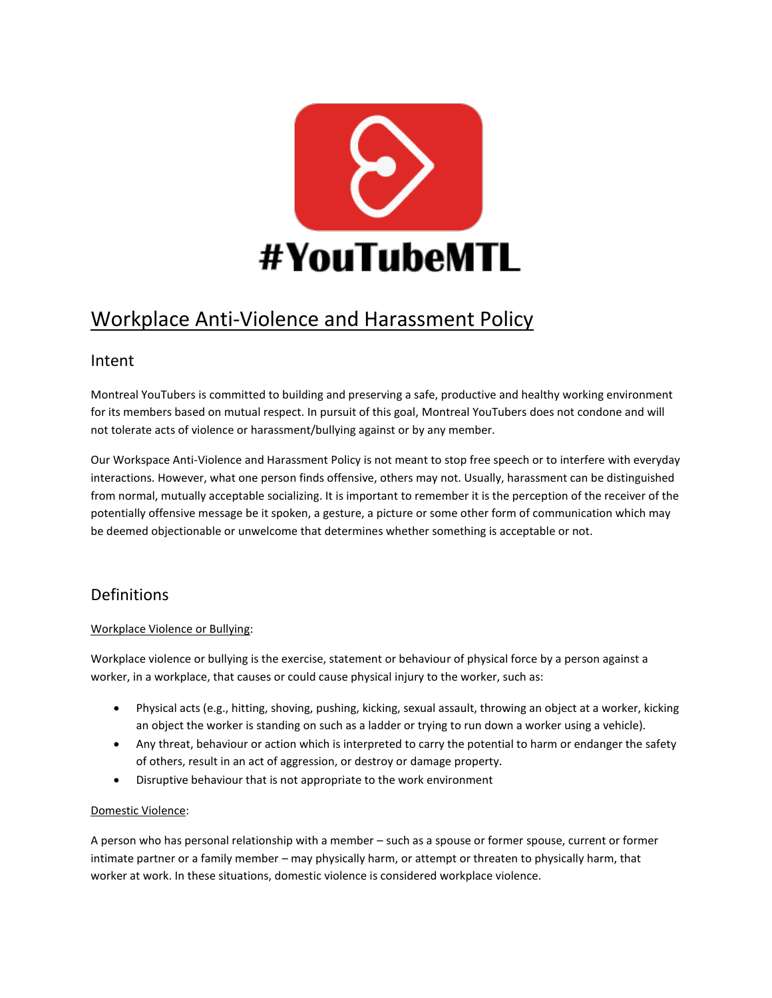

# Workplace Anti-Violence and Harassment Policy

### Intent

Montreal YouTubers is committed to building and preserving a safe, productive and healthy working environment for its members based on mutual respect. In pursuit of this goal, Montreal YouTubers does not condone and will not tolerate acts of violence or harassment/bullying against or by any member.

Our Workspace Anti-Violence and Harassment Policy is not meant to stop free speech or to interfere with everyday interactions. However, what one person finds offensive, others may not. Usually, harassment can be distinguished from normal, mutually acceptable socializing. It is important to remember it is the perception of the receiver of the potentially offensive message be it spoken, a gesture, a picture or some other form of communication which may be deemed objectionable or unwelcome that determines whether something is acceptable or not.

## **Definitions**

### Workplace Violence or Bullying:

Workplace violence or bullying is the exercise, statement or behaviour of physical force by a person against a worker, in a workplace, that causes or could cause physical injury to the worker, such as:

- Physical acts (e.g., hitting, shoving, pushing, kicking, sexual assault, throwing an object at a worker, kicking an object the worker is standing on such as a ladder or trying to run down a worker using a vehicle).
- Any threat, behaviour or action which is interpreted to carry the potential to harm or endanger the safety of others, result in an act of aggression, or destroy or damage property.
- Disruptive behaviour that is not appropriate to the work environment

### Domestic Violence:

A person who has personal relationship with a member – such as a spouse or former spouse, current or former intimate partner or a family member – may physically harm, or attempt or threaten to physically harm, that worker at work. In these situations, domestic violence is considered workplace violence.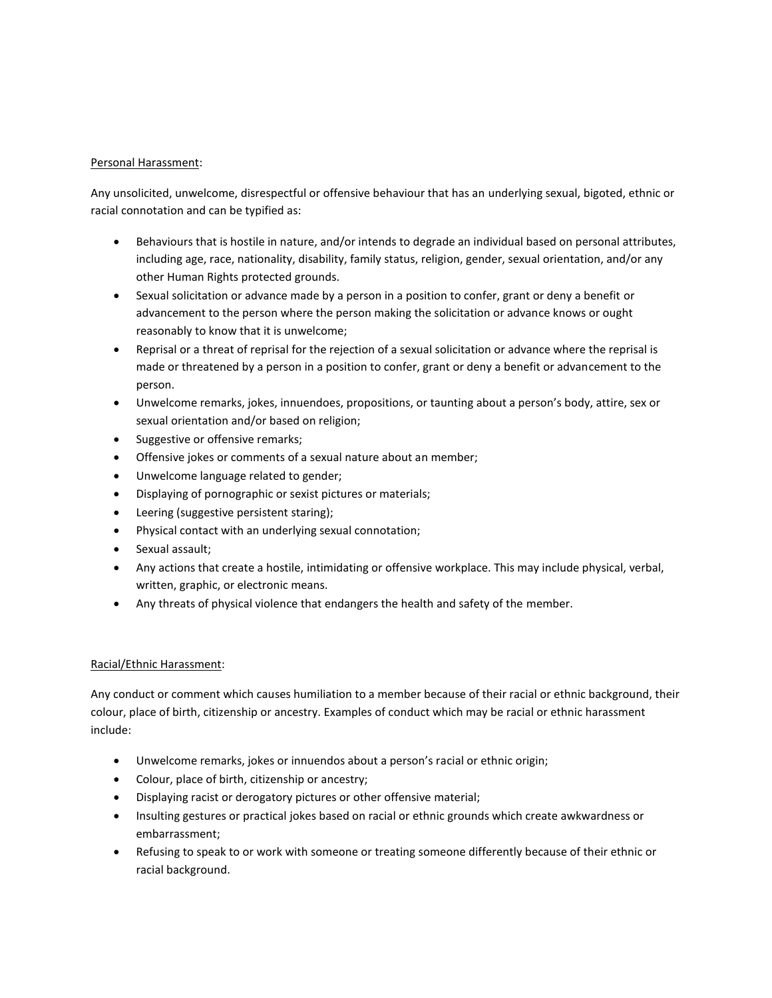#### Personal Harassment:

Any unsolicited, unwelcome, disrespectful or offensive behaviour that has an underlying sexual, bigoted, ethnic or racial connotation and can be typified as:

- Behaviours that is hostile in nature, and/or intends to degrade an individual based on personal attributes, including age, race, nationality, disability, family status, religion, gender, sexual orientation, and/or any other Human Rights protected grounds.
- Sexual solicitation or advance made by a person in a position to confer, grant or deny a benefit or advancement to the person where the person making the solicitation or advance knows or ought reasonably to know that it is unwelcome;
- Reprisal or a threat of reprisal for the rejection of a sexual solicitation or advance where the reprisal is made or threatened by a person in a position to confer, grant or deny a benefit or advancement to the person.
- Unwelcome remarks, jokes, innuendoes, propositions, or taunting about a person's body, attire, sex or sexual orientation and/or based on religion;
- Suggestive or offensive remarks;
- Offensive jokes or comments of a sexual nature about an member;
- Unwelcome language related to gender;
- Displaying of pornographic or sexist pictures or materials;
- Leering (suggestive persistent staring);
- Physical contact with an underlying sexual connotation;
- Sexual assault;
- Any actions that create a hostile, intimidating or offensive workplace. This may include physical, verbal, written, graphic, or electronic means.
- Any threats of physical violence that endangers the health and safety of the member.

#### Racial/Ethnic Harassment:

Any conduct or comment which causes humiliation to a member because of their racial or ethnic background, their colour, place of birth, citizenship or ancestry. Examples of conduct which may be racial or ethnic harassment include:

- Unwelcome remarks, jokes or innuendos about a person's racial or ethnic origin;
- Colour, place of birth, citizenship or ancestry;
- Displaying racist or derogatory pictures or other offensive material;
- Insulting gestures or practical jokes based on racial or ethnic grounds which create awkwardness or embarrassment;
- Refusing to speak to or work with someone or treating someone differently because of their ethnic or racial background.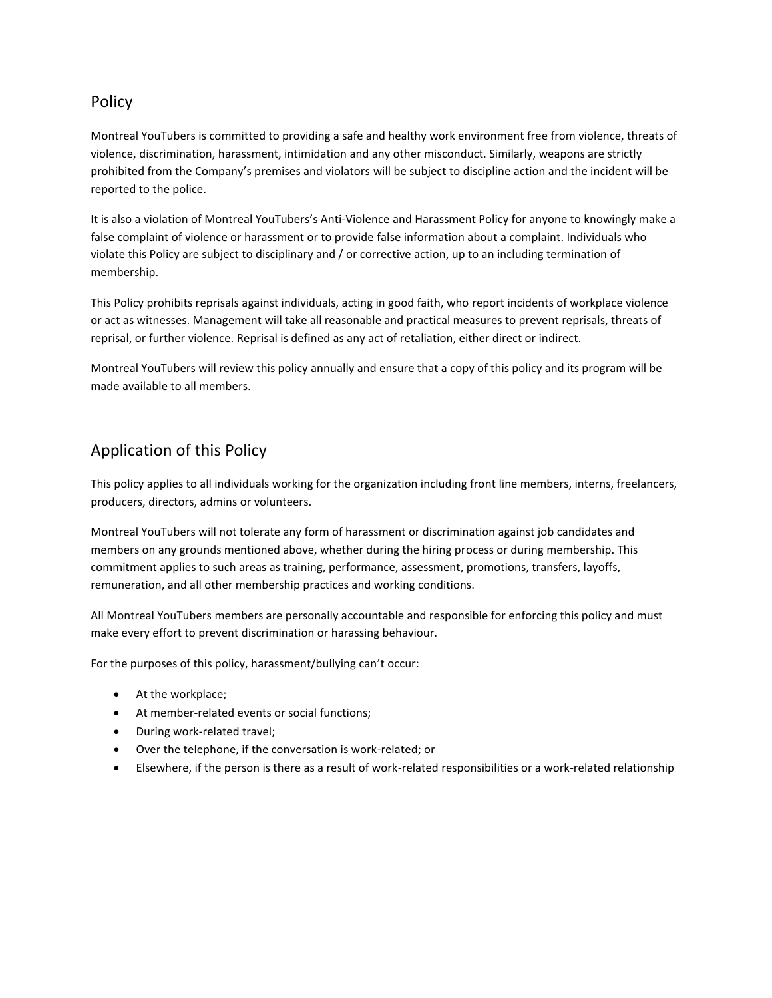### Policy

Montreal YouTubers is committed to providing a safe and healthy work environment free from violence, threats of violence, discrimination, harassment, intimidation and any other misconduct. Similarly, weapons are strictly prohibited from the Company's premises and violators will be subject to discipline action and the incident will be reported to the police.

It is also a violation of Montreal YouTubers's Anti-Violence and Harassment Policy for anyone to knowingly make a false complaint of violence or harassment or to provide false information about a complaint. Individuals who violate this Policy are subject to disciplinary and / or corrective action, up to an including termination of membership.

This Policy prohibits reprisals against individuals, acting in good faith, who report incidents of workplace violence or act as witnesses. Management will take all reasonable and practical measures to prevent reprisals, threats of reprisal, or further violence. Reprisal is defined as any act of retaliation, either direct or indirect.

Montreal YouTubers will review this policy annually and ensure that a copy of this policy and its program will be made available to all members.

## Application of this Policy

This policy applies to all individuals working for the organization including front line members, interns, freelancers, producers, directors, admins or volunteers.

Montreal YouTubers will not tolerate any form of harassment or discrimination against job candidates and members on any grounds mentioned above, whether during the hiring process or during membership. This commitment applies to such areas as training, performance, assessment, promotions, transfers, layoffs, remuneration, and all other membership practices and working conditions.

All Montreal YouTubers members are personally accountable and responsible for enforcing this policy and must make every effort to prevent discrimination or harassing behaviour.

For the purposes of this policy, harassment/bullying can't occur:

- At the workplace;
- At member-related events or social functions;
- During work-related travel;
- Over the telephone, if the conversation is work-related; or
- Elsewhere, if the person is there as a result of work-related responsibilities or a work-related relationship